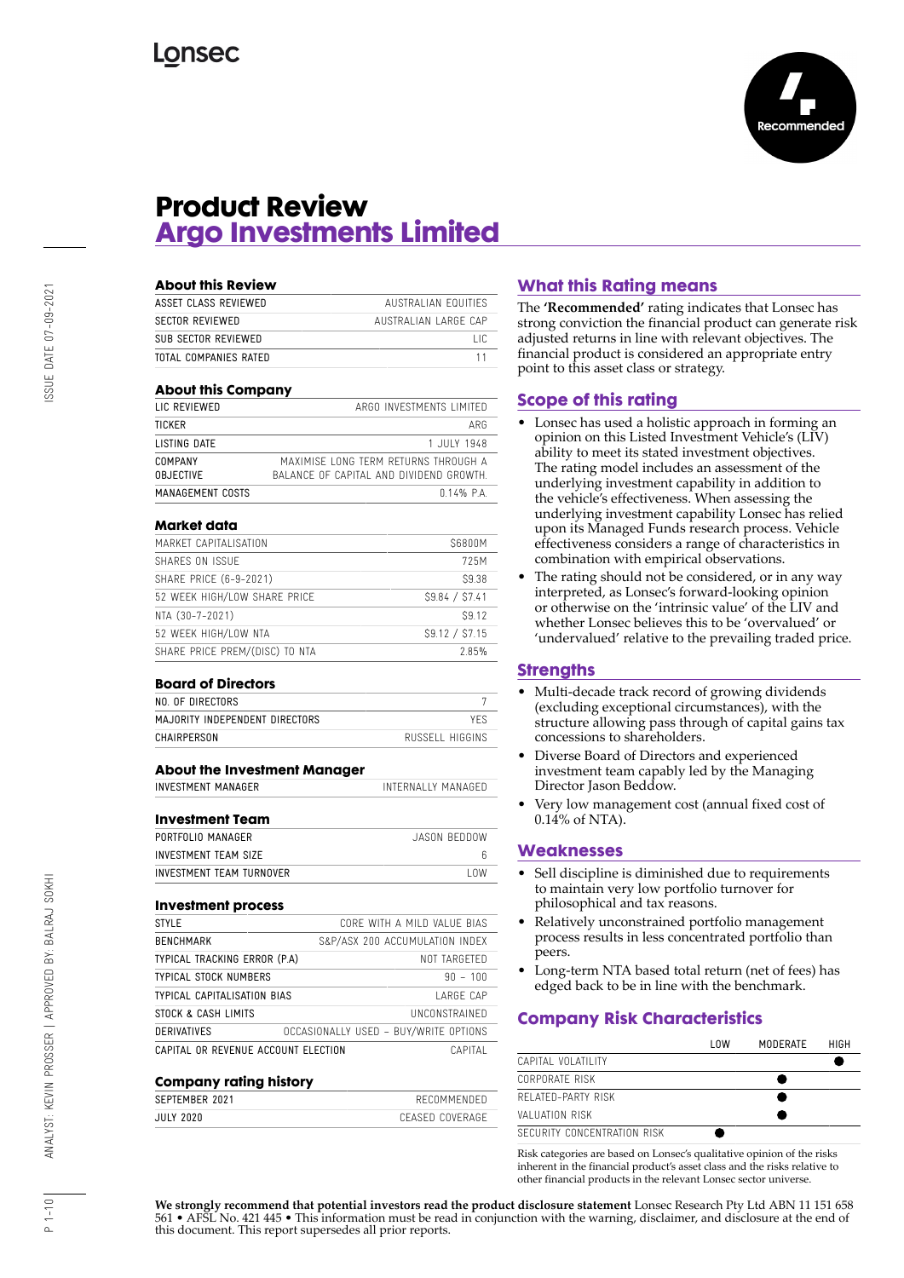

## **Product Review Argo Investments Limited**

| <b>About this Review</b> |                      |
|--------------------------|----------------------|
| ASSET CLASS REVIEWED     | AUSTRALIAN FOULTIES  |
| SECTOR REVIEWED          | AUSTRALIAN LARGE CAP |
| SUB SECTOR REVIEWED      | ΠC                   |
| TOTAL COMPANIES RATED    |                      |

### **About this Company**

| LIC REVIEWED     | ARGO INVESTMENTS LIMITED                |
|------------------|-----------------------------------------|
| TICKER           | ARG                                     |
| LISTING DATE     | 1 JULY 1948                             |
| COMPANY          | MAXIMISE LONG TERM RETURNS THROUGH A    |
| OBJECTIVE        | BALANCE OF CAPITAL AND DIVIDEND GROWTH. |
| MANAGEMENT COSTS | $0.14%$ P.A.                            |

### **Market data**

| MARKET CAPITALISATION          | \$6800M       |
|--------------------------------|---------------|
| SHARES ON ISSUE                | 725M          |
| SHARE PRICE (6-9-2021)         | S9.38         |
| 52 WEEK HIGH/LOW SHARE PRICE   | S9.84 / S7.41 |
| NTA (30-7-2021)                | S9.12         |
| 52 WEEK HIGH/LOW NTA           | S9.12 / S7.15 |
| SHARE PRICE PREM/(DISC) TO NTA | 2.85%         |

#### **Board of Directors**

| NO. OF DIRECTORS               |                 |
|--------------------------------|-----------------|
| MAJORITY INDEPENDENT DIRECTORS |                 |
| CHAIRPERSON                    | RUSSELL HIGGINS |

### **About the Investment Manager**

INVESTMENT MANAGER INTERNALLY MANAGED

#### **Investment Team**

| JASON REDDOW |
|--------------|
|              |
| l nw         |
|              |

#### **Investment process**

| STYLE                               | CORE WITH A MILD VALUE BIAS           |
|-------------------------------------|---------------------------------------|
| <b>BENCHMARK</b>                    | S&P/ASX 200 ACCUMULATION INDEX        |
| TYPICAL TRACKING ERROR (P.A)        | NOT TARGFTED                          |
| TYPICAL STOCK NUMBERS               | $90 - 100$                            |
| TYPICAL CAPITALISATION BIAS         | LARGF CAP                             |
| STOCK & CASH LIMITS                 | UNCONSTRAINED                         |
| DERIVATIVES                         | OCCASIONALLY USED - BUY/WRITE OPTIONS |
| CAPITAL OR REVENUE ACCOUNT ELECTION | CAPITAL                               |

#### **Company rating history**

| SEPTEMBER 2021 |  | RECOMMENDED     |
|----------------|--|-----------------|
| JULY 2020      |  | CFASED COVERAGE |
|                |  |                 |

### **What this Rating means**

The **'Recommended'** rating indicates that Lonsec has strong conviction the financial product can generate risk adjusted returns in line with relevant objectives. The financial product is considered an appropriate entry point to this asset class or strategy.

### **Scope of this rating**

- Lonsec has used a holistic approach in forming an opinion on this Listed Investment Vehicle's (LIV) ability to meet its stated investment objectives. The rating model includes an assessment of the underlying investment capability in addition to the vehicle's effectiveness. When assessing the underlying investment capability Lonsec has relied upon its Managed Funds research process. Vehicle effectiveness considers a range of characteristics in combination with empirical observations.
- The rating should not be considered, or in any way interpreted, as Lonsec's forward-looking opinion or otherwise on the 'intrinsic value' of the LIV and whether Lonsec believes this to be 'overvalued' or 'undervalued' relative to the prevailing traded price.

### **Strengths**

- Multi-decade track record of growing dividends (excluding exceptional circumstances), with the structure allowing pass through of capital gains tax concessions to shareholders.
- Diverse Board of Directors and experienced investment team capably led by the Managing Director Jason Beddow.
- Very low management cost (annual fixed cost of  $0.14\%$  of NTA).

### **Weaknesses**

- Sell discipline is diminished due to requirements to maintain very low portfolio turnover for philosophical and tax reasons.
- Relatively unconstrained portfolio management process results in less concentrated portfolio than peers.
- Long-term NTA based total return (net of fees) has edged back to be in line with the benchmark.

### **Company Risk Characteristics**

|                             | l OW | MODERATE | HIGH |
|-----------------------------|------|----------|------|
| CAPITAL VOLATILITY          |      |          |      |
| CORPORATE RISK              |      |          |      |
| RELATED-PARTY RISK          |      |          |      |
| VALUATION RISK              |      |          |      |
| SECURITY CONCENTRATION RISK |      |          |      |

Risk categories are based on Lonsec's qualitative opinion of the risks inherent in the financial product's asset class and the risks relative to other financial products in the relevant Lonsec sector universe.

**We strongly recommend that potential investors read the product disclosure statement** Lonsec Research Pty Ltd ABN 11 151 658 561 • AFSL No. 421 445 • This information must be read in conjunction with the warning, disclaimer, and disclosure at the end of this document. This report supersedes all prior reports.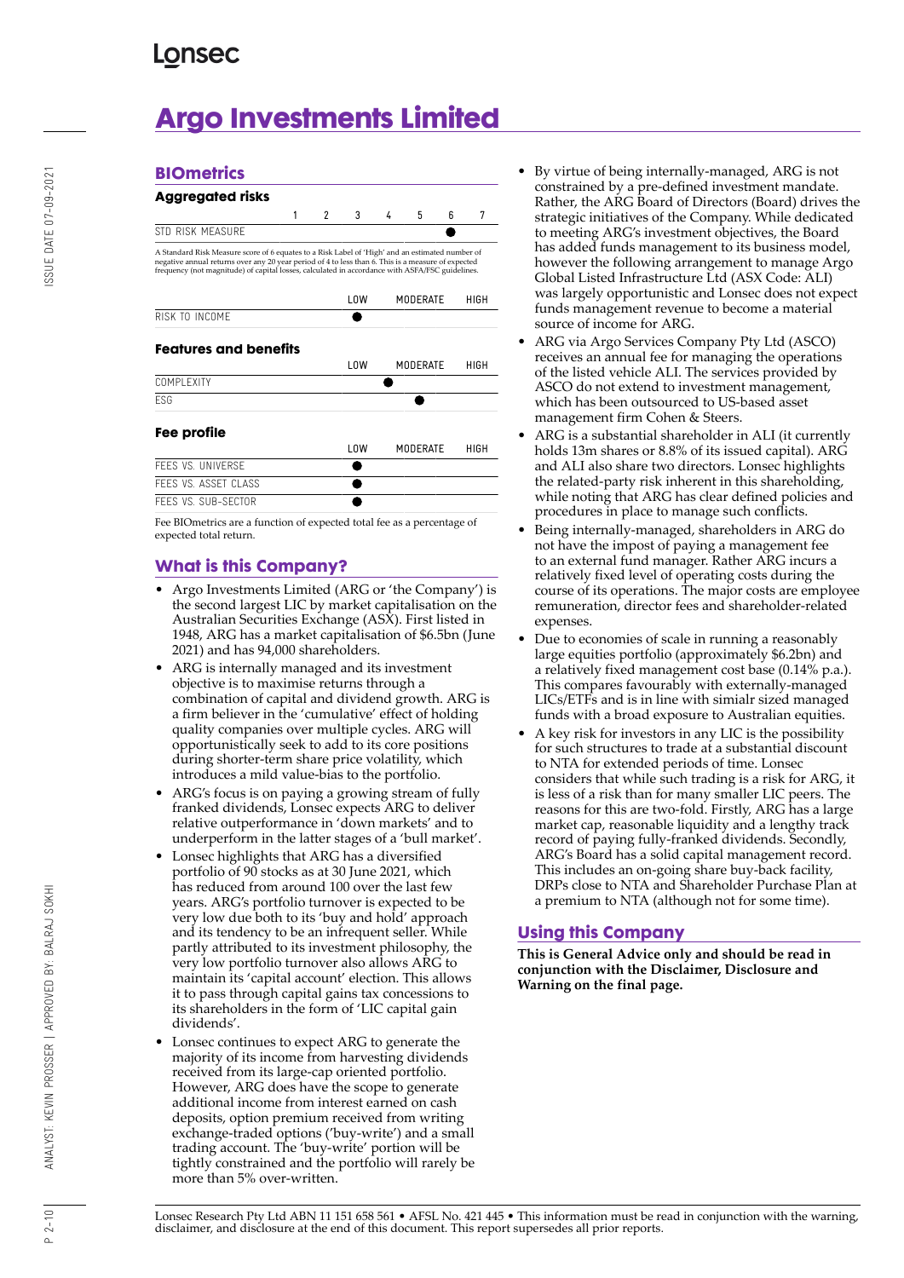**BIOmetrics**

# **Argo Investments Limited**

|                                                                                                                                                                                                                                                                                                          | 1 | $\mathfrak{p}$ | 3    | 4 | 5               | ĥ | 7    |
|----------------------------------------------------------------------------------------------------------------------------------------------------------------------------------------------------------------------------------------------------------------------------------------------------------|---|----------------|------|---|-----------------|---|------|
| STD RISK MEASURE                                                                                                                                                                                                                                                                                         |   |                |      |   |                 |   |      |
| A Standard Risk Measure score of 6 equates to a Risk Label of 'High' and an estimated number of<br>negative annual returns over any 20 year period of 4 to less than 6. This is a measure of expected<br>frequency (not magnitude) of capital losses, calculated in accordance with ASFA/FSC guidelines. |   |                |      |   |                 |   |      |
|                                                                                                                                                                                                                                                                                                          |   |                | l OW |   | MODERATE        |   | HIGH |
| RISK TO INCOME                                                                                                                                                                                                                                                                                           |   |                |      |   |                 |   |      |
| <b>Features and benefits</b>                                                                                                                                                                                                                                                                             |   |                | LOW  |   | MODERATE        |   |      |
| COMPI FXITY                                                                                                                                                                                                                                                                                              |   |                |      |   |                 |   | HIGH |
| <b>FSG</b>                                                                                                                                                                                                                                                                                               |   |                |      |   |                 |   |      |
| Fee profile                                                                                                                                                                                                                                                                                              |   |                |      |   |                 |   |      |
|                                                                                                                                                                                                                                                                                                          |   |                | 10W  |   | <b>MODERATE</b> |   | HIGH |
| FFFS VS. UNIVERSE                                                                                                                                                                                                                                                                                        |   |                |      |   |                 |   |      |
| FFFS VS. ASSET CLASS                                                                                                                                                                                                                                                                                     |   |                |      |   |                 |   |      |

Fee BIOmetrics are a function of expected total fee as a percentage of expected total return.

### **What is this Company?**

- Argo Investments Limited (ARG or 'the Company') is the second largest LIC by market capitalisation on the Australian Securities Exchange (ASX). First listed in 1948, ARG has a market capitalisation of \$6.5bn (June 2021) and has 94,000 shareholders.
- ARG is internally managed and its investment objective is to maximise returns through a combination of capital and dividend growth. ARG is a firm believer in the 'cumulative' effect of holding quality companies over multiple cycles. ARG will opportunistically seek to add to its core positions during shorter-term share price volatility, which introduces a mild value-bias to the portfolio.
- ARG's focus is on paying a growing stream of fully franked dividends, Lonsec expects ARG to deliver relative outperformance in 'down markets' and to underperform in the latter stages of a 'bull market'.
- Lonsec highlights that ARG has a diversified portfolio of 90 stocks as at 30 June 2021, which has reduced from around 100 over the last few years. ARG's portfolio turnover is expected to be very low due both to its 'buy and hold' approach and its tendency to be an infrequent seller. While partly attributed to its investment philosophy, the very low portfolio turnover also allows ARG to maintain its 'capital account' election. This allows it to pass through capital gains tax concessions to its shareholders in the form of 'LIC capital gain dividends'.
- Lonsec continues to expect ARG to generate the majority of its income from harvesting dividends received from its large-cap oriented portfolio. However, ARG does have the scope to generate additional income from interest earned on cash deposits, option premium received from writing exchange-traded options ('buy-write') and a small trading account. The 'buy-write' portion will be tightly constrained and the portfolio will rarely be more than 5% over-written.
- By virtue of being internally-managed, ARG is not constrained by a pre-defined investment mandate. Rather, the ARG Board of Directors (Board) drives the strategic initiatives of the Company. While dedicated to meeting ARG's investment objectives, the Board has added funds management to its business model, however the following arrangement to manage Argo Global Listed Infrastructure Ltd (ASX Code: ALI) was largely opportunistic and Lonsec does not expect funds management revenue to become a material source of income for ARG.
- ARG via Argo Services Company Pty Ltd (ASCO) receives an annual fee for managing the operations of the listed vehicle ALI. The services provided by ASCO do not extend to investment management, which has been outsourced to US-based asset management firm Cohen & Steers.
- ARG is a substantial shareholder in ALI (it currently holds 13m shares or 8.8% of its issued capital). ARG and ALI also share two directors. Lonsec highlights the related-party risk inherent in this shareholding, while noting that ARG has clear defined policies and procedures in place to manage such conflicts.
- Being internally-managed, shareholders in ARG do not have the impost of paying a management fee to an external fund manager. Rather ARG incurs a relatively fixed level of operating costs during the course of its operations. The major costs are employee remuneration, director fees and shareholder-related expenses.
- Due to economies of scale in running a reasonably large equities portfolio (approximately \$6.2bn) and a relatively fixed management cost base (0.14% p.a.). This compares favourably with externally-managed LICs/ETFs and is in line with simialr sized managed funds with a broad exposure to Australian equities.
- A key risk for investors in any LIC is the possibility for such structures to trade at a substantial discount to NTA for extended periods of time. Lonsec considers that while such trading is a risk for ARG, it is less of a risk than for many smaller LIC peers. The reasons for this are two-fold. Firstly, ARG has a large market cap, reasonable liquidity and a lengthy track record of paying fully-franked dividends. Secondly, ARG's Board has a solid capital management record. This includes an on-going share buy-back facility, DRPs close to NTA and Shareholder Purchase Plan at a premium to NTA (although not for some time).

### **Using this Company**

**This is General Advice only and should be read in conjunction with the Disclaimer, Disclosure and Warning on the final page.**

Lonsec Research Pty Ltd ABN 11 151 658 561 • AFSL No. 421 445 • This information must be read in conjunction with the warning, disclaimer, and disclosure at the end of this document. This report supersedes all prior reports.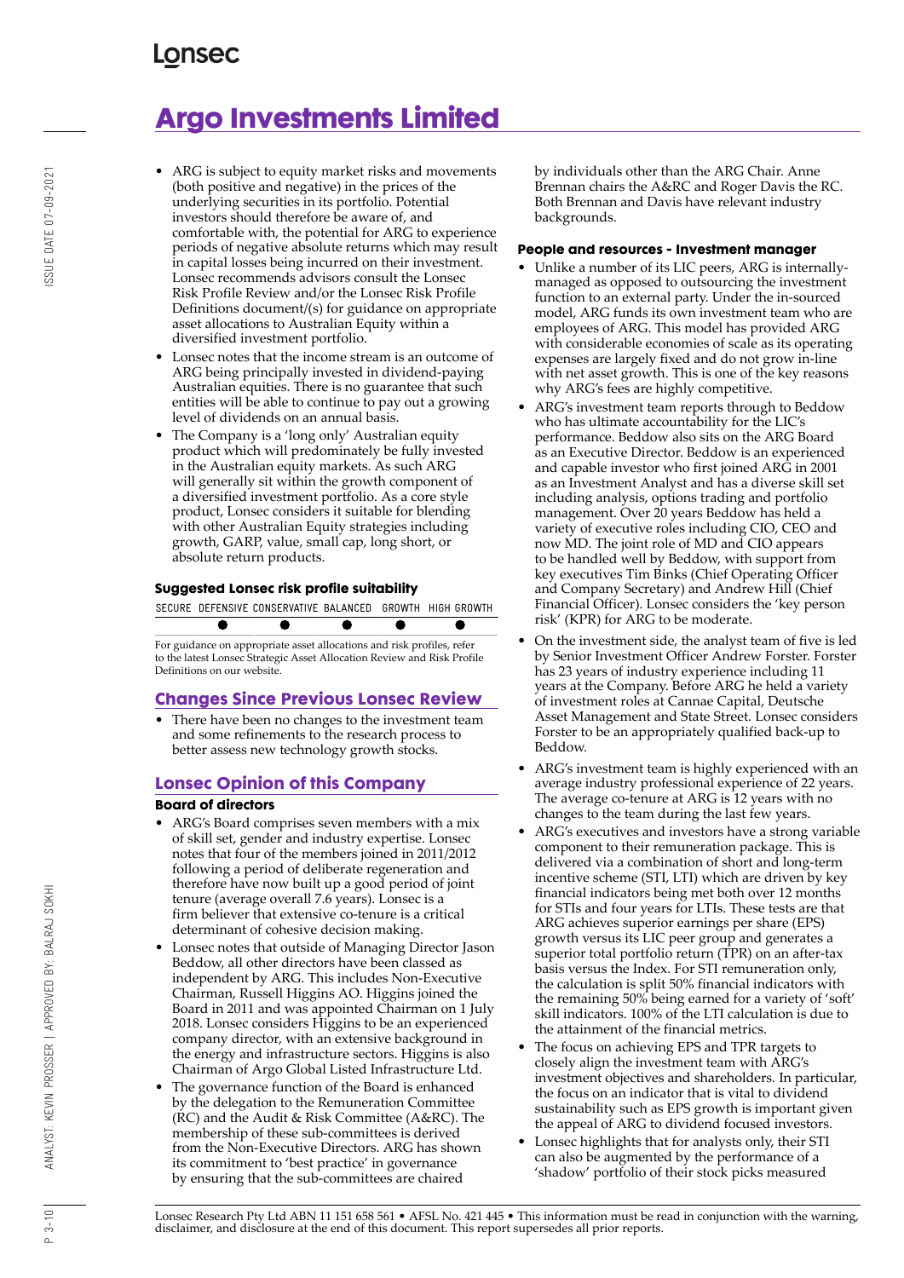# **Argo Investments Limited**

- ARG is subject to equity market risks and movements (both positive and negative) in the prices of the underlying securities in its portfolio. Potential investors should therefore be aware of, and comfortable with, the potential for ARG to experience periods of negative absolute returns which may result in capital losses being incurred on their investment. Lonsec recommends advisors consult the Lonsec Risk Profile Review and/or the Lonsec Risk Profile Definitions document/(s) for guidance on appropriate asset allocations to Australian Equity within a diversified investment portfolio.
- Lonsec notes that the income stream is an outcome of ARG being principally invested in dividend-paying Australian equities. There is no guarantee that such entities will be able to continue to pay out a growing level of dividends on an annual basis.
- The Company is a 'long only' Australian equity product which will predominately be fully invested in the Australian equity markets. As such ARG will generally sit within the growth component of a diversified investment portfolio. As a core style product, Lonsec considers it suitable for blending with other Australian Equity strategies including growth, GARP, value, small cap, long short, or absolute return products.

### **Suggested Lonsec risk profile suitability**



For guidance on appropriate asset allocations and risk profiles, refer to the latest Lonsec Strategic Asset Allocation Review and Risk Profile Definitions on our website.

### **Changes Since Previous Lonsec Review**

There have been no changes to the investment team and some refinements to the research process to better assess new technology growth stocks.

### **Lonsec Opinion of this Company**

### **Board of directors**

- ARG's Board comprises seven members with a mix of skill set, gender and industry expertise. Lonsec notes that four of the members joined in 2011/2012 following a period of deliberate regeneration and therefore have now built up a good period of joint tenure (average overall 7.6 years). Lonsec is a firm believer that extensive co-tenure is a critical determinant of cohesive decision making.
- Lonsec notes that outside of Managing Director Jason Beddow, all other directors have been classed as independent by ARG. This includes Non-Executive Chairman, Russell Higgins AO. Higgins joined the Board in 2011 and was appointed Chairman on 1 July 2018. Lonsec considers Higgins to be an experienced company director, with an extensive background in the energy and infrastructure sectors. Higgins is also Chairman of Argo Global Listed Infrastructure Ltd.
- The governance function of the Board is enhanced by the delegation to the Remuneration Committee (RC) and the Audit & Risk Committee (A&RC). The membership of these sub-committees is derived from the Non-Executive Directors. ARG has shown its commitment to 'best practice' in governance by ensuring that the sub-committees are chaired

by individuals other than the ARG Chair. Anne Brennan chairs the A&RC and Roger Davis the RC. Both Brennan and Davis have relevant industry backgrounds.

#### **People and resources - Investment manager**

- Unlike a number of its LIC peers, ARG is internallymanaged as opposed to outsourcing the investment function to an external party. Under the in-sourced model, ARG funds its own investment team who are employees of ARG. This model has provided ARG with considerable economies of scale as its operating expenses are largely fixed and do not grow in-line with net asset growth. This is one of the key reasons why ARG's fees are highly competitive.
- ARG's investment team reports through to Beddow who has ultimate accountability for the LIC's performance. Beddow also sits on the ARG Board as an Executive Director. Beddow is an experienced and capable investor who first joined ARG in 2001 as an Investment Analyst and has a diverse skill set including analysis, options trading and portfolio management. Over 20 years Beddow has held a variety of executive roles including CIO, CEO and now MD. The joint role of MD and CIO appears to be handled well by Beddow, with support from key executives Tim Binks (Chief Operating Officer and Company Secretary) and Andrew Hill (Chief Financial Officer). Lonsec considers the 'key person risk' (KPR) for ARG to be moderate.
- On the investment side, the analyst team of five is led by Senior Investment Officer Andrew Forster. Forster has 23 years of industry experience including 11 years at the Company. Before ARG he held a variety of investment roles at Cannae Capital, Deutsche Asset Management and State Street. Lonsec considers Forster to be an appropriately qualified back-up to Beddow.
- ARG's investment team is highly experienced with an average industry professional experience of 22 years. The average co-tenure at ARG is 12 years with no changes to the team during the last few years.
- ARG's executives and investors have a strong variable component to their remuneration package. This is delivered via a combination of short and long-term incentive scheme (STI, LTI) which are driven by key financial indicators being met both over 12 months for STIs and four years for LTIs. These tests are that ARG achieves superior earnings per share (EPS) growth versus its LIC peer group and generates a superior total portfolio return (TPR) on an after-tax basis versus the Index. For STI remuneration only, the calculation is split 50% financial indicators with the remaining 50% being earned for a variety of 'soft' skill indicators. 100% of the LTI calculation is due to the attainment of the financial metrics.
- The focus on achieving EPS and TPR targets to closely align the investment team with ARG's investment objectives and shareholders. In particular, the focus on an indicator that is vital to dividend sustainability such as EPS growth is important given the appeal of ARG to dividend focused investors.
- Lonsec highlights that for analysts only, their STI can also be augmented by the performance of a 'shadow' portfolio of their stock picks measured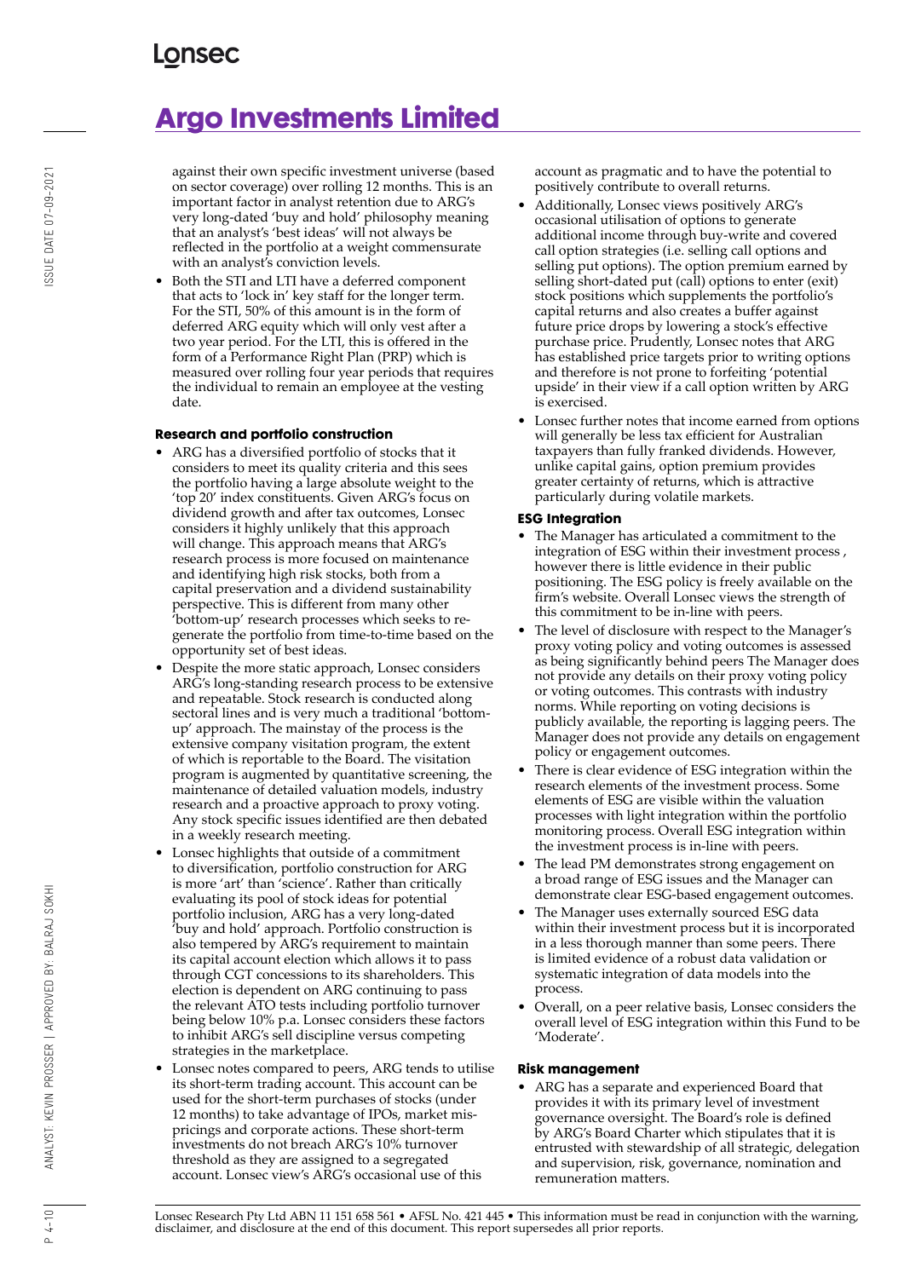# **Argo Investments Limited**

against their own specific investment universe (based on sector coverage) over rolling 12 months. This is an important factor in analyst retention due to ARG's very long-dated 'buy and hold' philosophy meaning that an analyst's 'best ideas' will not always be reflected in the portfolio at a weight commensurate with an analyst's conviction levels.

• Both the STI and LTI have a deferred component that acts to 'lock in' key staff for the longer term. For the STI, 50% of this amount is in the form of deferred ARG equity which will only vest after a two year period. For the LTI, this is offered in the form of a Performance Right Plan (PRP) which is measured over rolling four year periods that requires the individual to remain an employee at the vesting date.

### **Research and portfolio construction**

- ARG has a diversified portfolio of stocks that it considers to meet its quality criteria and this sees the portfolio having a large absolute weight to the 'top 20' index constituents. Given ARG's focus on dividend growth and after tax outcomes, Lonsec considers it highly unlikely that this approach will change. This approach means that ARG's research process is more focused on maintenance and identifying high risk stocks, both from a capital preservation and a dividend sustainability perspective. This is different from many other 'bottom-up' research processes which seeks to regenerate the portfolio from time-to-time based on the opportunity set of best ideas.
- Despite the more static approach, Lonsec considers ARG's long-standing research process to be extensive and repeatable. Stock research is conducted along sectoral lines and is very much a traditional 'bottomup' approach. The mainstay of the process is the extensive company visitation program, the extent of which is reportable to the Board. The visitation program is augmented by quantitative screening, the maintenance of detailed valuation models, industry research and a proactive approach to proxy voting. Any stock specific issues identified are then debated in a weekly research meeting.
- Lonsec highlights that outside of a commitment to diversification, portfolio construction for ARG is more 'art' than 'science'. Rather than critically evaluating its pool of stock ideas for potential portfolio inclusion, ARG has a very long-dated 'buy and hold' approach. Portfolio construction is also tempered by ARG's requirement to maintain its capital account election which allows it to pass through CGT concessions to its shareholders. This election is dependent on ARG continuing to pass the relevant ATO tests including portfolio turnover being below 10% p.a. Lonsec considers these factors to inhibit ARG's sell discipline versus competing strategies in the marketplace.
- Lonsec notes compared to peers, ARG tends to utilise its short-term trading account. This account can be used for the short-term purchases of stocks (under 12 months) to take advantage of IPOs, market mispricings and corporate actions. These short-term investments do not breach ARG's 10% turnover threshold as they are assigned to a segregated account. Lonsec view's ARG's occasional use of this

account as pragmatic and to have the potential to positively contribute to overall returns.

- Additionally, Lonsec views positively ARG's occasional utilisation of options to generate additional income through buy-write and covered call option strategies (i.e. selling call options and selling put options). The option premium earned by selling short-dated put (call) options to enter (exit) stock positions which supplements the portfolio's capital returns and also creates a buffer against future price drops by lowering a stock's effective purchase price. Prudently, Lonsec notes that ARG has established price targets prior to writing options and therefore is not prone to forfeiting 'potential upside' in their view if a call option written by ARG is exercised.
- Lonsec further notes that income earned from options will generally be less tax efficient for Australian taxpayers than fully franked dividends. However, unlike capital gains, option premium provides greater certainty of returns, which is attractive particularly during volatile markets.

### **ESG Integration**

- The Manager has articulated a commitment to the integration of ESG within their investment process , however there is little evidence in their public positioning. The ESG policy is freely available on the firm's website. Overall Lonsec views the strength of this commitment to be in-line with peers.
- The level of disclosure with respect to the Manager's proxy voting policy and voting outcomes is assessed as being significantly behind peers The Manager does not provide any details on their proxy voting policy or voting outcomes. This contrasts with industry norms. While reporting on voting decisions is publicly available, the reporting is lagging peers. The Manager does not provide any details on engagement policy or engagement outcomes.
- There is clear evidence of ESG integration within the research elements of the investment process. Some elements of ESG are visible within the valuation processes with light integration within the portfolio monitoring process. Overall ESG integration within the investment process is in-line with peers.
- The lead PM demonstrates strong engagement on a broad range of ESG issues and the Manager can demonstrate clear ESG-based engagement outcomes.
- The Manager uses externally sourced ESG data within their investment process but it is incorporated in a less thorough manner than some peers. There is limited evidence of a robust data validation or systematic integration of data models into the process.
- Overall, on a peer relative basis, Lonsec considers the overall level of ESG integration within this Fund to be 'Moderate'.

### **Risk management**

• ARG has a separate and experienced Board that provides it with its primary level of investment governance oversight. The Board's role is defined by ARG's Board Charter which stipulates that it is entrusted with stewardship of all strategic, delegation and supervision, risk, governance, nomination and remuneration matters.

Lonsec Research Pty Ltd ABN 11 151 658 561 • AFSL No. 421 445 • This information must be read in conjunction with the warning, disclaimer, and disclosure at the end of this document. This report supersedes all prior reports.

 $P 4 - 10$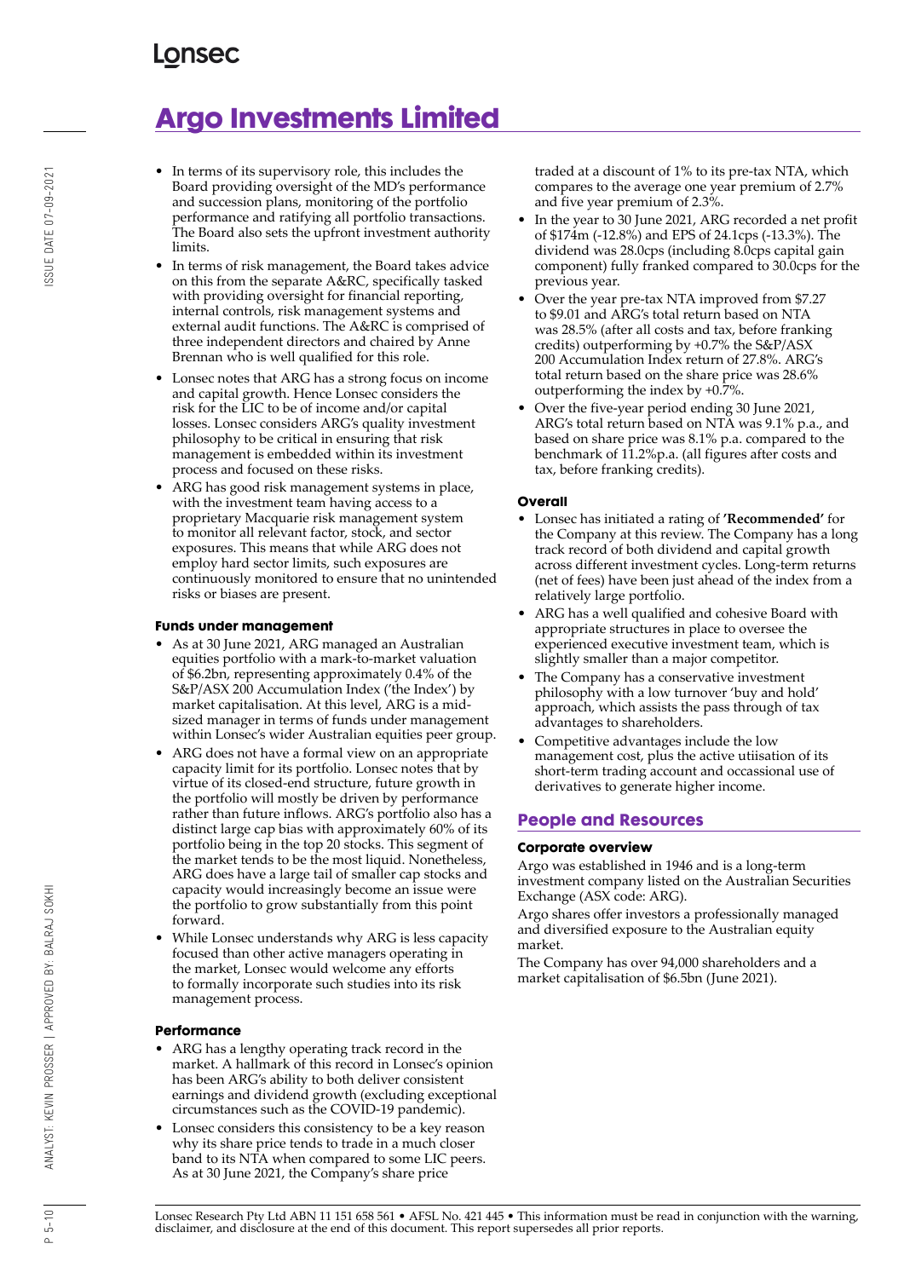# **Argo Investments Limited**

- In terms of its supervisory role, this includes the Board providing oversight of the MD's performance and succession plans, monitoring of the portfolio performance and ratifying all portfolio transactions. The Board also sets the upfront investment authority limits.
- In terms of risk management, the Board takes advice on this from the separate A&RC, specifically tasked with providing oversight for financial reporting, internal controls, risk management systems and external audit functions. The A&RC is comprised of three independent directors and chaired by Anne Brennan who is well qualified for this role.
- Lonsec notes that ARG has a strong focus on income and capital growth. Hence Lonsec considers the risk for the LIC to be of income and/or capital losses. Lonsec considers ARG's quality investment philosophy to be critical in ensuring that risk management is embedded within its investment process and focused on these risks.
- ARG has good risk management systems in place, with the investment team having access to a proprietary Macquarie risk management system to monitor all relevant factor, stock, and sector exposures. This means that while ARG does not employ hard sector limits, such exposures are continuously monitored to ensure that no unintended risks or biases are present.

### **Funds under management**

- As at 30 June 2021, ARG managed an Australian equities portfolio with a mark-to-market valuation of \$6.2bn, representing approximately 0.4% of the S&P/ASX 200 Accumulation Index ('the Index') by market capitalisation. At this level, ARG is a midsized manager in terms of funds under management within Lonsec's wider Australian equities peer group.
- ARG does not have a formal view on an appropriate capacity limit for its portfolio. Lonsec notes that by virtue of its closed-end structure, future growth in the portfolio will mostly be driven by performance rather than future inflows. ARG's portfolio also has a distinct large cap bias with approximately 60% of its portfolio being in the top 20 stocks. This segment of the market tends to be the most liquid. Nonetheless, ARG does have a large tail of smaller cap stocks and capacity would increasingly become an issue were the portfolio to grow substantially from this point forward.
- While Lonsec understands why ARG is less capacity focused than other active managers operating in the market, Lonsec would welcome any efforts to formally incorporate such studies into its risk management process.

### **Performance**

- ARG has a lengthy operating track record in the market. A hallmark of this record in Lonsec's opinion has been ARG's ability to both deliver consistent earnings and dividend growth (excluding exceptional circumstances such as the COVID-19 pandemic).
- Lonsec considers this consistency to be a key reason why its share price tends to trade in a much closer band to its NTA when compared to some LIC peers. As at 30 June 2021, the Company's share price

traded at a discount of 1% to its pre-tax NTA, which compares to the average one year premium of 2.7% and five year premium of 2.3%.

- In the year to 30 June 2021, ARG recorded a net profit of \$174m (-12.8%) and EPS of 24.1cps (-13.3%). The dividend was 28.0cps (including 8.0cps capital gain component) fully franked compared to 30.0cps for the previous year.
- Over the year pre-tax NTA improved from \$7.27 to \$9.01 and ARG's total return based on NTA was 28.5% (after all costs and tax, before franking credits) outperforming by +0.7% the S&P/ASX 200 Accumulation Index return of 27.8%. ARG's total return based on the share price was 28.6% outperforming the index by +0.7%.
- Over the five-year period ending 30 June 2021, ARG's total return based on NTA was 9.1% p.a., and based on share price was 8.1% p.a. compared to the benchmark of 11.2%p.a. (all figures after costs and tax, before franking credits).

### **Overall**

- Lonsec has initiated a rating of **'Recommended'** for the Company at this review. The Company has a long track record of both dividend and capital growth across different investment cycles. Long-term returns (net of fees) have been just ahead of the index from a relatively large portfolio.
- ARG has a well qualified and cohesive Board with appropriate structures in place to oversee the experienced executive investment team, which is slightly smaller than a major competitor.
- The Company has a conservative investment philosophy with a low turnover 'buy and hold' approach, which assists the pass through of tax advantages to shareholders.
- Competitive advantages include the low management cost, plus the active utiisation of its short-term trading account and occassional use of derivatives to generate higher income.

### **People and Resources**

### **Corporate overview**

Argo was established in 1946 and is a long-term investment company listed on the Australian Securities Exchange (ASX code: ARG).

Argo shares offer investors a professionally managed and diversified exposure to the Australian equity market.

The Company has over 94,000 shareholders and a market capitalisation of \$6.5bn (June 2021).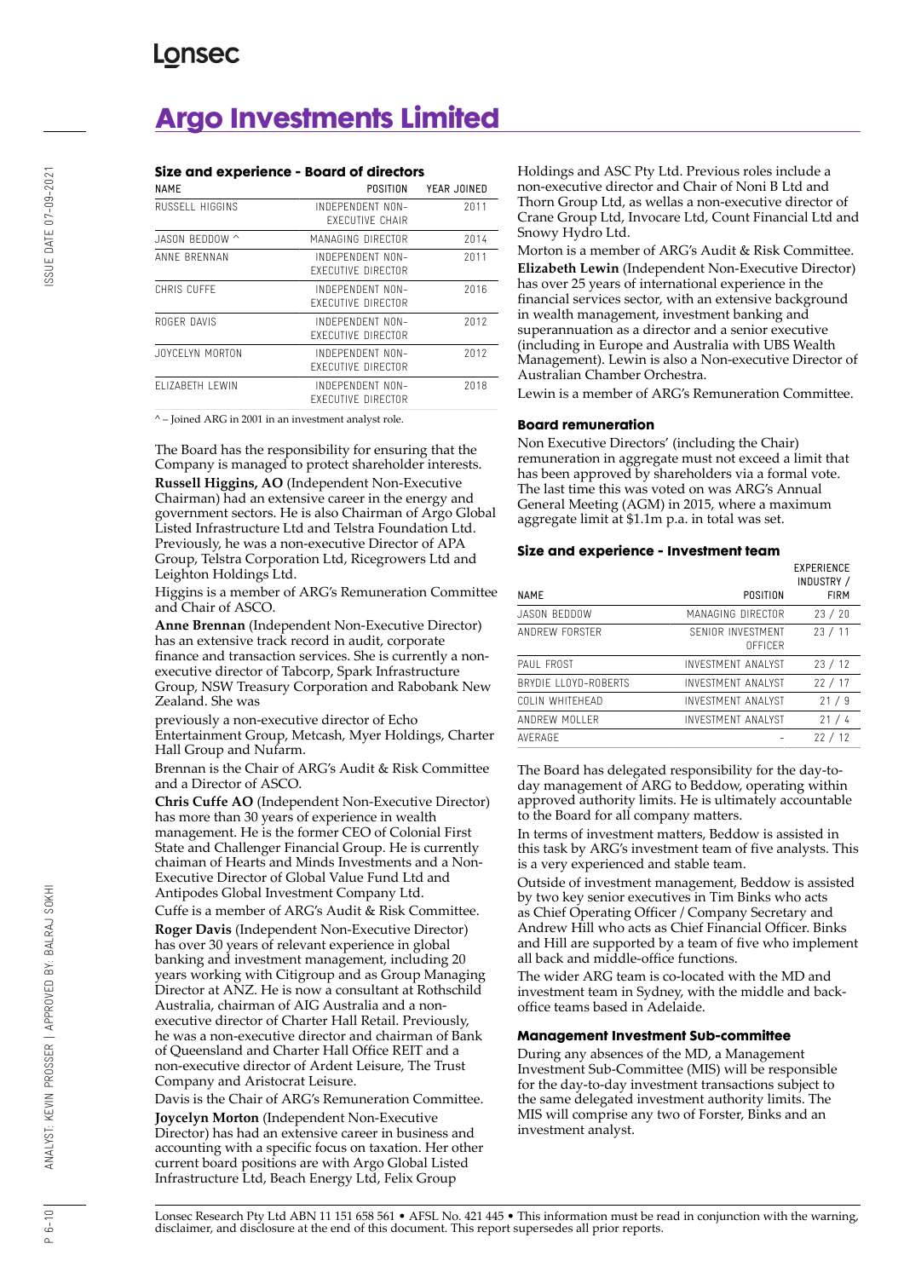# **Argo Investments Limited**

|                 | Size and experience - Board of directors      |             |
|-----------------|-----------------------------------------------|-------------|
| <b>NAME</b>     | POSITION                                      | YEAR JOINED |
| RUSSELL HIGGINS | INDEPENDENT NON-<br><b>EXECUTIVE CHAIR</b>    | 2011        |
| JASON BEDDOW ^  | MANAGING DIRFCTOR                             | 2014        |
| ANNE BRENNAN    | INDEPENDENT NON-<br><b>FXFCUTIVE DIRECTOR</b> | 2011        |
| CHRIS CUFFF     | INDEPENDENT NON-<br><b>FXFCUTIVE DIRECTOR</b> | 2016        |
| ROGER DAVIS     | INDEPENDENT NON-<br><b>FXFCUTIVE DIRECTOR</b> | 2012        |
| JOYCELYN MORTON | INDEPENDENT NON-<br><b>FXFCUTIVE DIRECTOR</b> | 2012        |
| FLIZABETH LEWIN | INDEPENDENT NON-<br>FXFCUTIVE DIRFCTOR        | 2018        |
|                 |                                               |             |

 $^{\wedge}$  – Joined ARG in 2001 in an investment analyst role.

The Board has the responsibility for ensuring that the Company is managed to protect shareholder interests. **Russell Higgins, AO** (Independent Non-Executive Chairman) had an extensive career in the energy and government sectors. He is also Chairman of Argo Global Listed Infrastructure Ltd and Telstra Foundation Ltd. Previously, he was a non-executive Director of APA Group, Telstra Corporation Ltd, Ricegrowers Ltd and Leighton Holdings Ltd.

Higgins is a member of ARG's Remuneration Committee and Chair of ASCO.

**Anne Brennan** (Independent Non-Executive Director) has an extensive track record in audit, corporate finance and transaction services. She is currently a nonexecutive director of Tabcorp, Spark Infrastructure Group, NSW Treasury Corporation and Rabobank New Zealand. She was

previously a non-executive director of Echo Entertainment Group, Metcash, Myer Holdings, Charter Hall Group and Nufarm.

Brennan is the Chair of ARG's Audit & Risk Committee and a Director of ASCO.

**Chris Cuffe AO** (Independent Non-Executive Director) has more than 30 years of experience in wealth management. He is the former CEO of Colonial First State and Challenger Financial Group. He is currently chaiman of Hearts and Minds Investments and a Non-Executive Director of Global Value Fund Ltd and Antipodes Global Investment Company Ltd.

Cuffe is a member of ARG's Audit & Risk Committee. **Roger Davis** (Independent Non-Executive Director) has over 30 years of relevant experience in global banking and investment management, including 20 years working with Citigroup and as Group Managing Director at ANZ. He is now a consultant at Rothschild Australia, chairman of AIG Australia and a nonexecutive director of Charter Hall Retail. Previously, he was a non-executive director and chairman of Bank of Queensland and Charter Hall Office REIT and a non-executive director of Ardent Leisure, The Trust Company and Aristocrat Leisure.

Davis is the Chair of ARG's Remuneration Committee.

**Joycelyn Morton** (Independent Non-Executive Director) has had an extensive career in business and accounting with a specific focus on taxation. Her other current board positions are with Argo Global Listed Infrastructure Ltd, Beach Energy Ltd, Felix Group

Holdings and ASC Pty Ltd. Previous roles include a non-executive director and Chair of Noni B Ltd and Thorn Group Ltd, as wellas a non-executive director of Crane Group Ltd, Invocare Ltd, Count Financial Ltd and Snowy Hydro Ltd.

Morton is a member of ARG's Audit & Risk Committee. **Elizabeth Lewin** (Independent Non-Executive Director) has over 25 years of international experience in the financial services sector, with an extensive background in wealth management, investment banking and superannuation as a director and a senior executive (including in Europe and Australia with UBS Wealth Management). Lewin is also a Non-executive Director of Australian Chamber Orchestra.

Lewin is a member of ARG's Remuneration Committee.

### **Board remuneration**

Non Executive Directors' (including the Chair) remuneration in aggregate must not exceed a limit that has been approved by shareholders via a formal vote. The last time this was voted on was ARG's Annual General Meeting (AGM) in 2015, where a maximum aggregate limit at \$1.1m p.a. in total was set.

#### **Size and experience - Investment team**

|                       |                                     | <b>EXPERIENCE</b><br>INDUSTRY / |
|-----------------------|-------------------------------------|---------------------------------|
| <b>NAME</b>           | POSITION                            | <b>FIRM</b>                     |
| JASON BEDDOW          | MANAGING DIRFCTOR                   | 23/20                           |
| ANDREW FORSTER        | SFNIOR INVESTMENT<br><b>OFFICER</b> | 23/11                           |
| PAUL FROST            | INVESTMENT ANALYST                  | 23/12                           |
| BRYDIE II OYD-ROBERTS | INVESTMENT ANALYST                  | 22/17                           |
| COLIN WHITEHEAD       | <b>INVESTMENT ANALYST</b>           | 21/9                            |
| ANDREW MOLLER         | INVESTMENT ANALYST                  | 21/4                            |
| AVFRAGF               |                                     | 22/12                           |

The Board has delegated responsibility for the day-today management of ARG to Beddow, operating within approved authority limits. He is ultimately accountable to the Board for all company matters.

In terms of investment matters, Beddow is assisted in this task by ARG's investment team of five analysts. This is a very experienced and stable team.

Outside of investment management, Beddow is assisted by two key senior executives in Tim Binks who acts as Chief Operating Officer / Company Secretary and Andrew Hill who acts as Chief Financial Officer. Binks and Hill are supported by a team of five who implement all back and middle-office functions.

The wider ARG team is co-located with the MD and investment team in Sydney, with the middle and backoffice teams based in Adelaide.

#### **Management Investment Sub-committee**

During any absences of the MD, a Management Investment Sub-Committee (MIS) will be responsible for the day-to-day investment transactions subject to the same delegated investment authority limits. The MIS will comprise any two of Forster, Binks and an investment analyst.

Lonsec Research Pty Ltd ABN 11 151 658 561 • AFSL No. 421 445 • This information must be read in conjunction with the warning, disclaimer, and disclosure at the end of this document. This report supersedes all prior reports.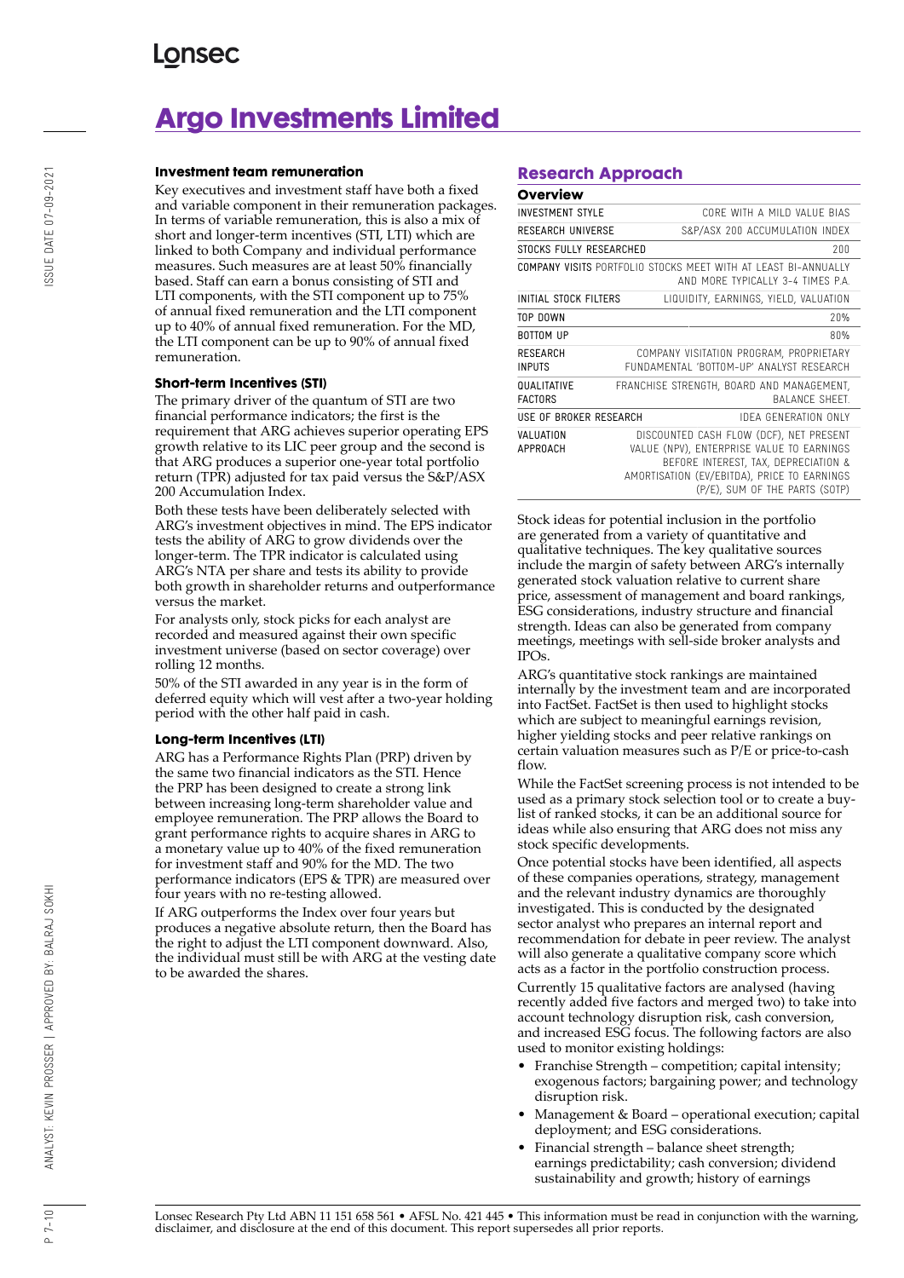# **Argo Investments Limited**

#### **Investment team remuneration**

Key executives and investment staff have both a fixed and variable component in their remuneration packages. In terms of variable remuneration, this is also a mix of short and longer-term incentives (STI, LTI) which are linked to both Company and individual performance measures. Such measures are at least 50% financially based. Staff can earn a bonus consisting of STI and LTI components, with the STI component up to 75% of annual fixed remuneration and the LTI component up to 40% of annual fixed remuneration. For the MD, the LTI component can be up to 90% of annual fixed remuneration.

### **Short-term Incentives (STI)**

The primary driver of the quantum of STI are two financial performance indicators; the first is the requirement that ARG achieves superior operating EPS growth relative to its LIC peer group and the second is that ARG produces a superior one-year total portfolio return (TPR) adjusted for tax paid versus the S&P/ASX 200 Accumulation Index.

Both these tests have been deliberately selected with ARG's investment objectives in mind. The EPS indicator tests the ability of ARG to grow dividends over the longer-term. The TPR indicator is calculated using ARG's NTA per share and tests its ability to provide both growth in shareholder returns and outperformance versus the market.

For analysts only, stock picks for each analyst are recorded and measured against their own specific investment universe (based on sector coverage) over rolling 12 months.

50% of the STI awarded in any year is in the form of deferred equity which will vest after a two-year holding period with the other half paid in cash.

### **Long-term Incentives (LTI)**

ARG has a Performance Rights Plan (PRP) driven by the same two financial indicators as the STI. Hence the PRP has been designed to create a strong link between increasing long-term shareholder value and employee remuneration. The PRP allows the Board to grant performance rights to acquire shares in ARG to a monetary value up to 40% of the fixed remuneration for investment staff and 90% for the MD. The two performance indicators (EPS & TPR) are measured over four years with no re-testing allowed.

If ARG outperforms the Index over four years but produces a negative absolute return, then the Board has the right to adjust the LTI component downward. Also, the individual must still be with ARG at the vesting date to be awarded the shares.

### **Research Approach**

| Overview                             |  |                                                                                                                                                                                                               |
|--------------------------------------|--|---------------------------------------------------------------------------------------------------------------------------------------------------------------------------------------------------------------|
| <b>INVESTMENT STYLE</b>              |  | CORE WITH A MILD VALUE BIAS                                                                                                                                                                                   |
| RESEARCH UNIVERSE                    |  | S&P/ASX 200 ACCUMULATION INDEX                                                                                                                                                                                |
| 200<br>STOCKS FULLY RESEARCHED       |  |                                                                                                                                                                                                               |
|                                      |  | COMPANY VISITS PORTFOLIO STOCKS MEET WITH AT LEAST BI-ANNUALLY<br>AND MORE TYPICALLY 3-4 TIMES P.A.                                                                                                           |
| INITIAL STOCK FILTERS                |  | LIQUIDITY, EARNINGS, YIELD, VALUATION                                                                                                                                                                         |
| TOP DOWN                             |  | 20%                                                                                                                                                                                                           |
| <b>BOTTOM UP</b>                     |  | 80%                                                                                                                                                                                                           |
| <b>RESEARCH</b><br><b>INPUTS</b>     |  | COMPANY VISITATION PROGRAM, PROPRIETARY<br>FUNDAMENTAL 'BOTTOM-UP' ANALYST RESEARCH                                                                                                                           |
| <b>QUALITATIVE</b><br><b>FACTORS</b> |  | FRANCHISE STRENGTH, BOARD AND MANAGEMENT,<br><b>BAI ANCE SHEFT.</b>                                                                                                                                           |
| USE OF BROKER RESEARCH               |  | IDEA GENERATION ONLY                                                                                                                                                                                          |
| VALUATION<br><b>APPROACH</b>         |  | DISCOUNTED CASH FLOW (DCF), NET PRESENT<br>VALUE (NPV), ENTERPRISE VALUE TO EARNINGS<br>BEFORE INTEREST, TAX, DEPRECIATION &<br>AMORTISATION (EV/EBITDA), PRICE TO EARNINGS<br>(P/E), SUM OF THE PARTS (SOTP) |

Stock ideas for potential inclusion in the portfolio are generated from a variety of quantitative and qualitative techniques. The key qualitative sources include the margin of safety between ARG's internally generated stock valuation relative to current share price, assessment of management and board rankings, ESG considerations, industry structure and financial strength. Ideas can also be generated from company meetings, meetings with sell-side broker analysts and IPOs.

ARG's quantitative stock rankings are maintained internally by the investment team and are incorporated into FactSet. FactSet is then used to highlight stocks which are subject to meaningful earnings revision, higher yielding stocks and peer relative rankings on certain valuation measures such as P/E or price-to-cash flow.

While the FactSet screening process is not intended to be used as a primary stock selection tool or to create a buylist of ranked stocks, it can be an additional source for ideas while also ensuring that ARG does not miss any stock specific developments.

Once potential stocks have been identified, all aspects of these companies operations, strategy, management and the relevant industry dynamics are thoroughly investigated. This is conducted by the designated sector analyst who prepares an internal report and recommendation for debate in peer review. The analyst will also generate a qualitative company score which acts as a factor in the portfolio construction process. Currently 15 qualitative factors are analysed (having recently added five factors and merged two) to take into account technology disruption risk, cash conversion, and increased ESG focus. The following factors are also used to monitor existing holdings:

- Franchise Strength competition; capital intensity; exogenous factors; bargaining power; and technology disruption risk.
- Management & Board operational execution; capital deployment; and ESG considerations.
- Financial strength balance sheet strength; earnings predictability; cash conversion; dividend sustainability and growth; history of earnings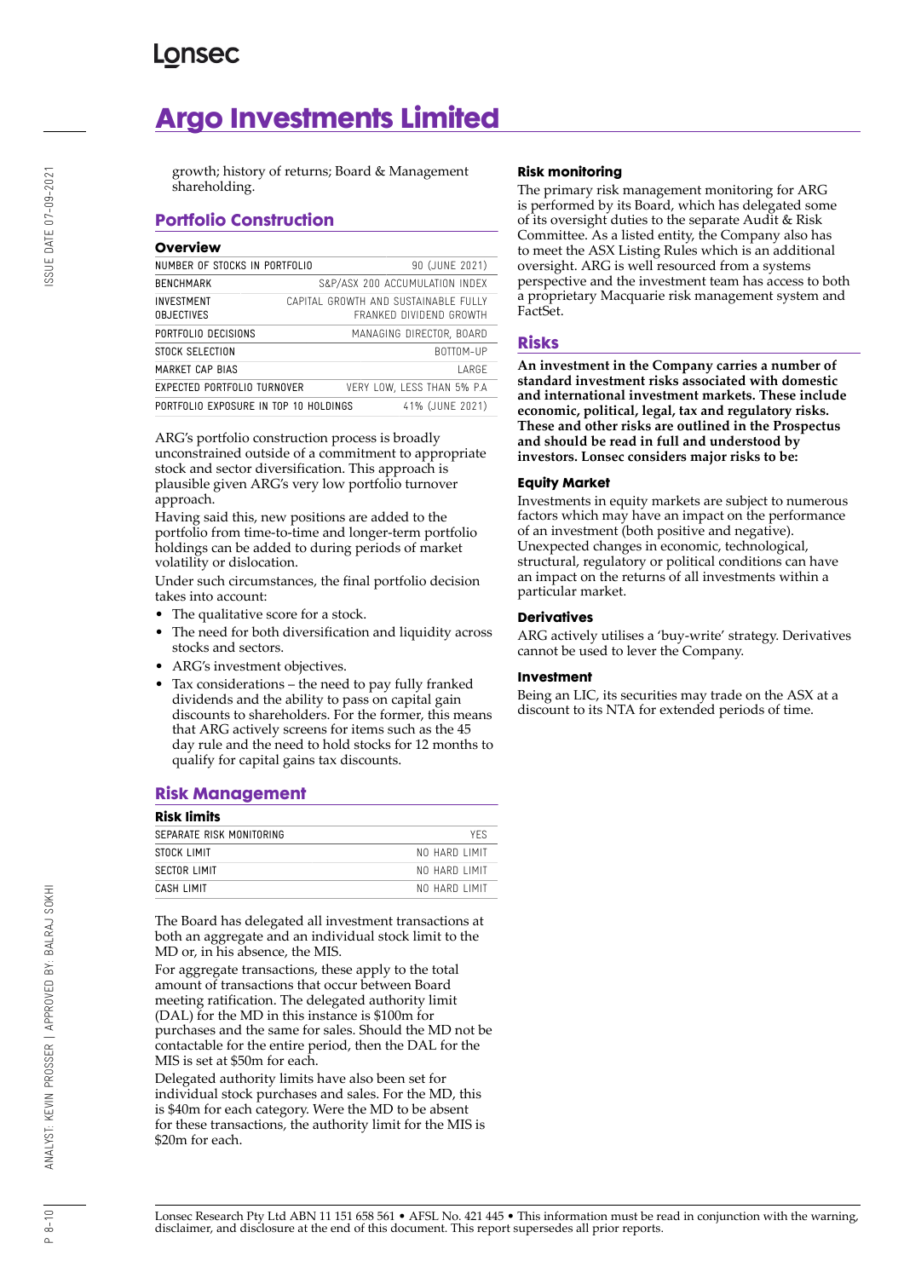# **Argo Investments Limited**

growth; history of returns; Board & Management shareholding.

### **Portfolio Construction**

### **Overview**

| NUMBER OF STOCKS IN PORTFOLIO                            |                                                                 | 90 (JUNE 2021)                 |  |
|----------------------------------------------------------|-----------------------------------------------------------------|--------------------------------|--|
| BENCHMARK                                                |                                                                 | S&P/ASX 200 ACCUMULATION INDEX |  |
| INVESTMENT<br><b>OBJECTIVES</b>                          | CAPITAL GROWTH AND SUSTAINABLE FULLY<br>FRANKED DIVIDEND GROWTH |                                |  |
| PORTFOLIO DECISIONS                                      |                                                                 | MANAGING DIRECTOR, BOARD       |  |
| STOCK SELECTION                                          |                                                                 | BOTTOM-UP                      |  |
| MARKET CAP BIAS                                          |                                                                 | <b>LARGE</b>                   |  |
| EXPECTED PORTFOLIO TURNOVER                              |                                                                 | VERY LOW, LESS THAN 5% P.A.    |  |
| 41% (JUNE 2021)<br>PORTFOLIO EXPOSURE IN TOP 10 HOLDINGS |                                                                 |                                |  |
|                                                          |                                                                 |                                |  |

ARG's portfolio construction process is broadly unconstrained outside of a commitment to appropriate stock and sector diversification. This approach is plausible given ARG's very low portfolio turnover approach.

Having said this, new positions are added to the portfolio from time-to-time and longer-term portfolio holdings can be added to during periods of market volatility or dislocation.

Under such circumstances, the final portfolio decision takes into account:

- The qualitative score for a stock.
- The need for both diversification and liquidity across stocks and sectors.
- ARG's investment objectives.
- Tax considerations the need to pay fully franked dividends and the ability to pass on capital gain discounts to shareholders. For the former, this means that ARG actively screens for items such as the 45 day rule and the need to hold stocks for 12 months to qualify for capital gains tax discounts.

### **Risk Management**

| <b>Risk limits</b>       |               |  |
|--------------------------|---------------|--|
| SEPARATE RISK MONITORING | YFS           |  |
| STOCK LIMIT              | NO HARD LIMIT |  |
| SECTOR LIMIT             | NO HARD LIMIT |  |
| CASH LIMIT               | NO HARD LIMIT |  |

The Board has delegated all investment transactions at both an aggregate and an individual stock limit to the MD or, in his absence, the MIS.

For aggregate transactions, these apply to the total amount of transactions that occur between Board meeting ratification. The delegated authority limit (DAL) for the MD in this instance is \$100m for purchases and the same for sales. Should the MD not be contactable for the entire period, then the DAL for the MIS is set at \$50m for each.

Delegated authority limits have also been set for individual stock purchases and sales. For the MD, this is \$40m for each category. Were the MD to be absent for these transactions, the authority limit for the MIS is \$20m for each.

### **Risk monitoring**

The primary risk management monitoring for ARG is performed by its Board, which has delegated some of its oversight duties to the separate Audit & Risk Committee. As a listed entity, the Company also has to meet the ASX Listing Rules which is an additional oversight. ARG is well resourced from a systems perspective and the investment team has access to both a proprietary Macquarie risk management system and FactSet.

### **Risks**

**An investment in the Company carries a number of standard investment risks associated with domestic and international investment markets. These include economic, political, legal, tax and regulatory risks. These and other risks are outlined in the Prospectus and should be read in full and understood by investors. Lonsec considers major risks to be:**

### **Equity Market**

Investments in equity markets are subject to numerous factors which may have an impact on the performance of an investment (both positive and negative). Unexpected changes in economic, technological, structural, regulatory or political conditions can have an impact on the returns of all investments within a particular market.

### **Derivatives**

ARG actively utilises a 'buy-write' strategy. Derivatives cannot be used to lever the Company.

### **Investment**

Being an LIC, its securities may trade on the ASX at a discount to its NTA for extended periods of time.

SSUE DATE 07-09-2021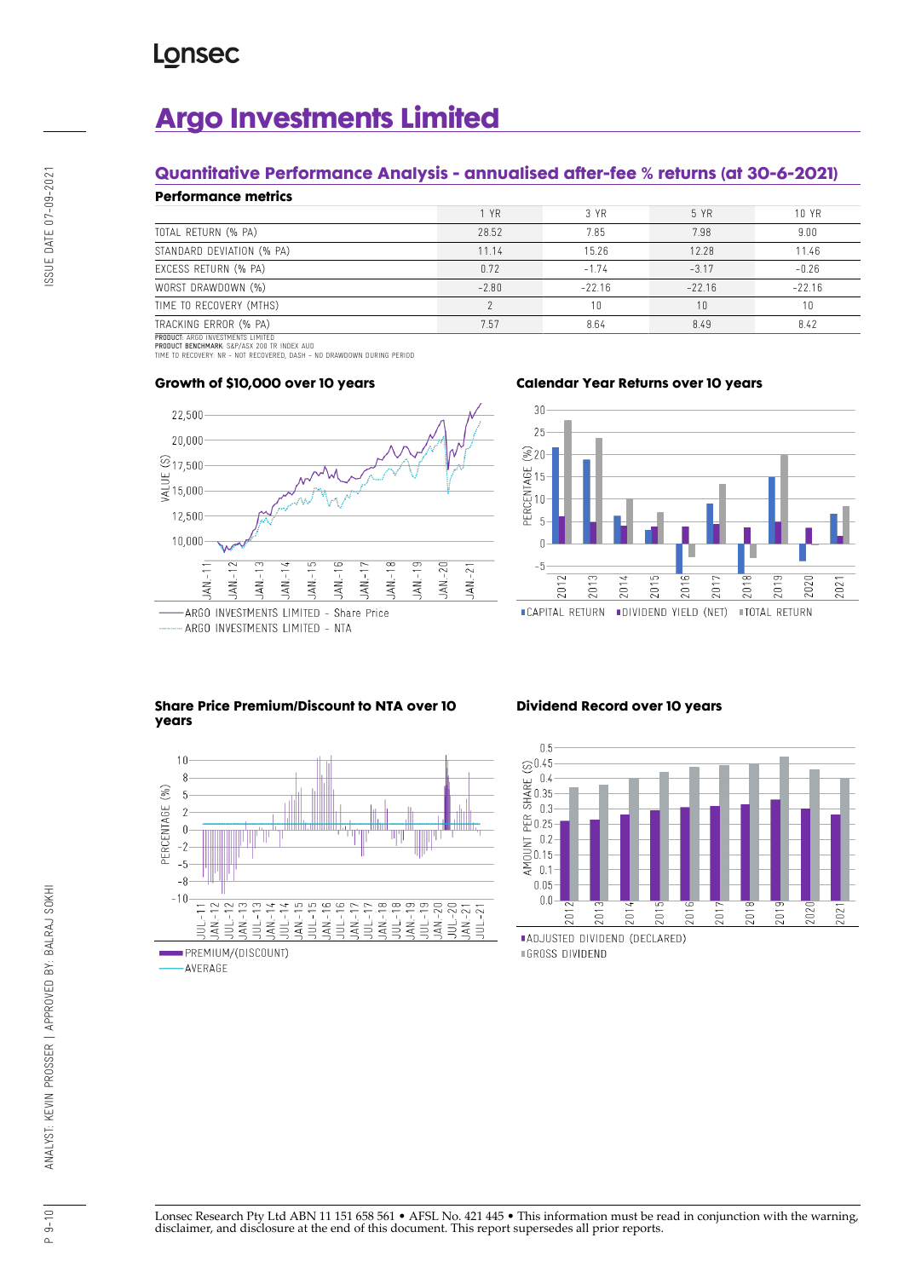# **Argo Investments Limited**

### **Quantitative Performance Analysis - annualised after-fee % returns (at 30-6-2021)**

| <b>Performance metrics</b> |         |          |          |          |  |
|----------------------------|---------|----------|----------|----------|--|
|                            | 1 YR    | 3 YR     | 5 YR     | 10 YR    |  |
| TOTAL RETURN (% PA)        | 28.52   | 7.85     | 7.98     | 9.00     |  |
| STANDARD DEVIATION (% PA)  | 11.14   | 15.26    | 12.28    | 11.46    |  |
| EXCESS RETURN (% PA)       | 0.72    | $-1.74$  | $-3.17$  | $-0.26$  |  |
| WORST DRAWDOWN (%)         | $-2.80$ | $-22.16$ | $-22.16$ | $-22.16$ |  |
| TIME TO RECOVERY (MTHS)    |         | 10       | 10       |          |  |
| TRACKING ERROR (% PA)      | 7.57    | 8.64     | 8.49     | 8.42     |  |
|                            |         |          |          |          |  |

PRODUCT: ARGO INVESTMENTS LIMITED<br>PRODUCT BENCHMARK: S&P/ASX 200 TR INDEX AUD<br>TIME TO RECOVERY: NR - NOT RECOVERED, DASH - NO DRAWDOWN DURING PERIOD



### **Growth of \$10,000 over 10 years**





### **Share Price Premium/Discount to NTA over 10 years**



### **Dividend Record over 10 years**



P 9-10 ANALYST: KEVIN PROSSER | APPROVED BY: BALRAJ SOKHI ISSUE DATE 07-09-2021 ANALYST: KEVIN PROSSER | APPROVED BY: BALRAJ SOKHI